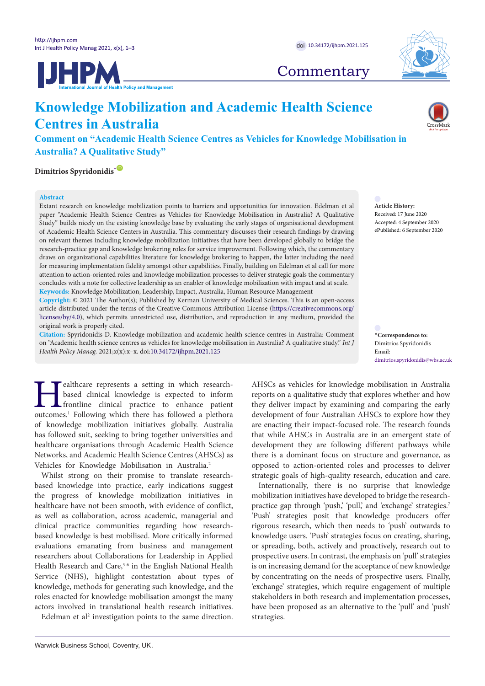**UHPM** 



**Commentary** 

# **Knowledge Mobilization and Academic Health Science Centres in Australia**

**Comment on "Academic Health Science Centres as Vehicles for Knowledge Mobilisation in Australia? A Qualitative Study"**

**Dimitrios Spyridonidis[\\*](#page-0-0)** [ID](https://orcid.org/0000-0001-6963-5985)

## **Abstract**

Extant research on knowledge mobilization points to barriers and opportunities for innovation. Edelman et al paper "Academic Health Science Centres as Vehicles for Knowledge Mobilisation in Australia? A Qualitative Study" builds nicely on the existing knowledge base by evaluating the early stages of organisational development of Academic Health Science Centers in Australia. This commentary discusses their research findings by drawing on relevant themes including knowledge mobilization initiatives that have been developed globally to bridge the research-practice gap and knowledge brokering roles for service improvement. Following which, the commentary draws on organizational capabilities literature for knowledge brokering to happen, the latter including the need for measuring implementation fidelity amongst other capabilities. Finally, building on Edelman et al call for more attention to action-oriented roles and knowledge mobilization processes to deliver strategic goals the commentary concludes with a note for collective leadership as an enabler of knowledge mobilization with impact and at scale.

**Keywords:** Knowledge Mobilization, Leadership, Impact, Australia, Human Resource Management

**Copyright:** © 2021 The Author(s); Published by Kerman University of Medical Sciences. This is an open-access article distributed under the terms of the Creative Commons Attribution License [\(https://creativecommons.org/](https://creativecommons.org/licenses/by/4.0/) [licenses/by/4.0](https://creativecommons.org/licenses/by/4.0/)), which permits unrestricted use, distribution, and reproduction in any medium, provided the original work is properly cited.

**Citation:** Spyridonidis D. Knowledge mobilization and academic health science centres in Australia: Comment on "Academic health science centres as vehicles for knowledge mobilisation in Australia? A qualitative study." *Int J Health Policy Manag.* 2021;x(x):x–x. doi:[10.34172/ijhpm.2021.125](https://doi.org/10.34172/ijhpm.2021.125)

**Healthcare represents a setting in which research-**<br>based clinical knowledge is expected to inform<br>frontline clinical practice to enhance patient<br>outcomes.<sup>1</sup> Following which there has followed a plethora based clinical knowledge is expected to inform frontline clinical practice to enhance patient of knowledge mobilization initiatives globally. Australia has followed suit, seeking to bring together universities and healthcare organisations through Academic Health Science Networks, and Academic Health Science Centres (AHSCs) as Vehicles for Knowledge Mobilisation in Australia.<sup>2</sup>

Whilst strong on their promise to translate researchbased knowledge into practice, early indications suggest the progress of knowledge mobilization initiatives in healthcare have not been smooth, with evidence of conflict, as well as collaboration, across academic, managerial and clinical practice communities regarding how researchbased knowledge is best mobilised. More critically informed evaluations emanating from business and management researchers about Collaborations for Leadership in Applied Health Research and Care,<sup>3-6</sup> in the English National Health Service (NHS), highlight contestation about types of knowledge, methods for generating such knowledge, and the roles enacted for knowledge mobilisation amongst the many actors involved in translational health research initiatives.

Edelman et al<sup>2</sup> investigation points to the same direction.

AHSCs as vehicles for knowledge mobilisation in Australia reports on a qualitative study that explores whether and how they deliver impact by examining and comparing the early development of four Australian AHSCs to explore how they are enacting their impact-focused role. The research founds that while AHSCs in Australia are in an emergent state of development they are following different pathways while there is a dominant focus on structure and governance, as opposed to action-oriented roles and processes to deliver strategic goals of high-quality research, education and care.

Internationally, there is no surprise that knowledge mobilization initiatives have developed to bridge the researchpractice gap through 'push,' 'pull,' and 'exchange' strategies.<sup>7</sup> 'Push' strategies posit that knowledge producers offer rigorous research, which then needs to 'push' outwards to knowledge users. 'Push' strategies focus on creating, sharing, or spreading, both, actively and proactively, research out to prospective users. In contrast, the emphasis on 'pull' strategies is on increasing demand for the acceptance of new knowledge by concentrating on the needs of prospective users. Finally, 'exchange' strategies, which require engagement of multiple stakeholders in both research and implementation processes, have been proposed as an alternative to the 'pull' and 'push' strategies.



**Article History:** Received: 17 June 2020 Accepted: 4 September 2020 ePublished: 6 September 2020

<span id="page-0-0"></span>**\*Correspondence to:** Dimitrios Spyridonidis Email: dimitrios.spyridonidis@wbs.ac.uk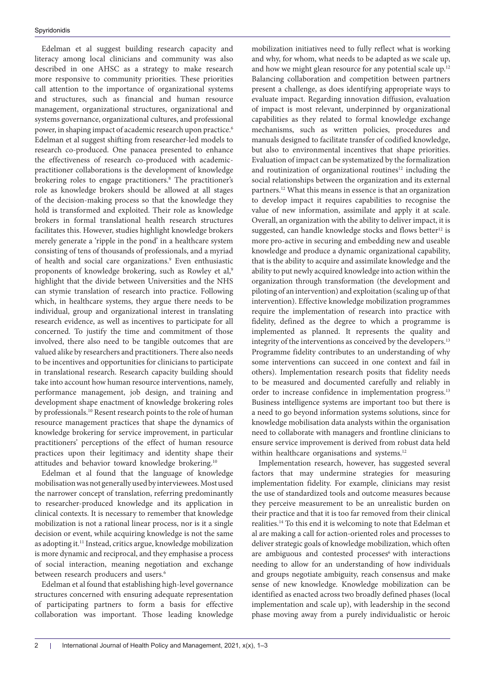Edelman et al suggest building research capacity and literacy among local clinicians and community was also described in one AHSC as a strategy to make research more responsive to community priorities. These priorities call attention to the importance of organizational systems and structures, such as financial and human resource management, organizational structures, organizational and systems governance, organizational cultures, and professional power, in shaping impact of academic research upon practice.<sup>6</sup> Edelman et al suggest shifting from researcher-led models to research co-produced. One panacea presented to enhance the effectiveness of research co-produced with academicpractitioner collaborations is the development of knowledge brokering roles to engage practitioners.<sup>8</sup> The practitioner's role as knowledge brokers should be allowed at all stages of the decision-making process so that the knowledge they hold is transformed and exploited. Their role as knowledge brokers in formal translational health research structures facilitates this. However, studies highlight knowledge brokers merely generate a 'ripple in the pond' in a healthcare system consisting of tens of thousands of professionals, and a myriad of health and social care organizations.<sup>9</sup> Even enthusiastic proponents of knowledge brokering, such as Rowley et al,<sup>9</sup> highlight that the divide between Universities and the NHS can stymie translation of research into practice. Following which, in healthcare systems, they argue there needs to be individual, group and organizational interest in translating research evidence, as well as incentives to participate for all concerned. To justify the time and commitment of those involved, there also need to be tangible outcomes that are valued alike by researchers and practitioners. There also needs to be incentives and opportunities for clinicians to participate in translational research. Research capacity building should take into account how human resource interventions, namely, performance management, job design, and training and development shape enactment of knowledge brokering roles by professionals.10 Resent research points to the role of human resource management practices that shape the dynamics of knowledge brokering for service improvement, in particular practitioners' perceptions of the effect of human resource practices upon their legitimacy and identity shape their attitudes and behavior toward knowledge brokering.10

Edelman et al found that the language of knowledge mobilisation was not generally used by interviewees. Most used the narrower concept of translation, referring predominantly to researcher-produced knowledge and its application in clinical contexts. It is necessary to remember that knowledge mobilization is not a rational linear process, nor is it a single decision or event, while acquiring knowledge is not the same as adopting it.11 Instead, critics argue, knowledge mobilization is more dynamic and reciprocal, and they emphasise a process of social interaction, meaning negotiation and exchange between research producers and users.<sup>6</sup>

Edelman et al found that establishing high-level governance structures concerned with ensuring adequate representation of participating partners to form a basis for effective collaboration was important. Those leading knowledge

mobilization initiatives need to fully reflect what is working and why, for whom, what needs to be adapted as we scale up, and how we might glean resource for any potential scale up.<sup>12</sup> Balancing collaboration and competition between partners present a challenge, as does identifying appropriate ways to evaluate impact. Regarding innovation diffusion, evaluation of impact is most relevant, underpinned by organizational capabilities as they related to formal knowledge exchange mechanisms, such as written policies, procedures and manuals designed to facilitate transfer of codified knowledge, but also to environmental incentives that shape priorities. Evaluation of impact can be systematized by the formalization and routinization of organizational routines<sup>12</sup> including the social relationships between the organization and its external partners.12 What this means in essence is that an organization to develop impact it requires capabilities to recognise the value of new information, assimilate and apply it at scale. Overall, an organization with the ability to deliver impact, it is suggested, can handle knowledge stocks and flows better<sup>12</sup> is more pro-active in securing and embedding new and useable knowledge and produce a dynamic organizational capability, that is the ability to acquire and assimilate knowledge and the ability to put newly acquired knowledge into action within the organization through transformation (the development and piloting of an intervention) and exploitation (scaling up of that intervention). Effective knowledge mobilization programmes require the implementation of research into practice with fidelity, defined as the degree to which a programme is implemented as planned. It represents the quality and integrity of the interventions as conceived by the developers.<sup>13</sup> Programme fidelity contributes to an understanding of why some interventions can succeed in one context and fail in others). Implementation research posits that fidelity needs to be measured and documented carefully and reliably in order to increase confidence in implementation progress.13 Business intelligence systems are important too but there is a need to go beyond information systems solutions, since for knowledge mobilisation data analysts within the organisation need to collaborate with managers and frontline clinicians to ensure service improvement is derived from robust data held within healthcare organisations and systems.<sup>12</sup>

Implementation research, however, has suggested several factors that may undermine strategies for measuring implementation fidelity. For example, clinicians may resist the use of standardized tools and outcome measures because they perceive measurement to be an unrealistic burden on their practice and that it is too far removed from their clinical realities.14 To this end it is welcoming to note that Edelman et al are making a call for action-oriented roles and processes to deliver strategic goals of knowledge mobilization, which often are ambiguous and contested processes<sup>6</sup> with interactions needing to allow for an understanding of how individuals and groups negotiate ambiguity, reach consensus and make sense of new knowledge. Knowledge mobilization can be identified as enacted across two broadly defined phases (local implementation and scale up), with leadership in the second phase moving away from a purely individualistic or heroic